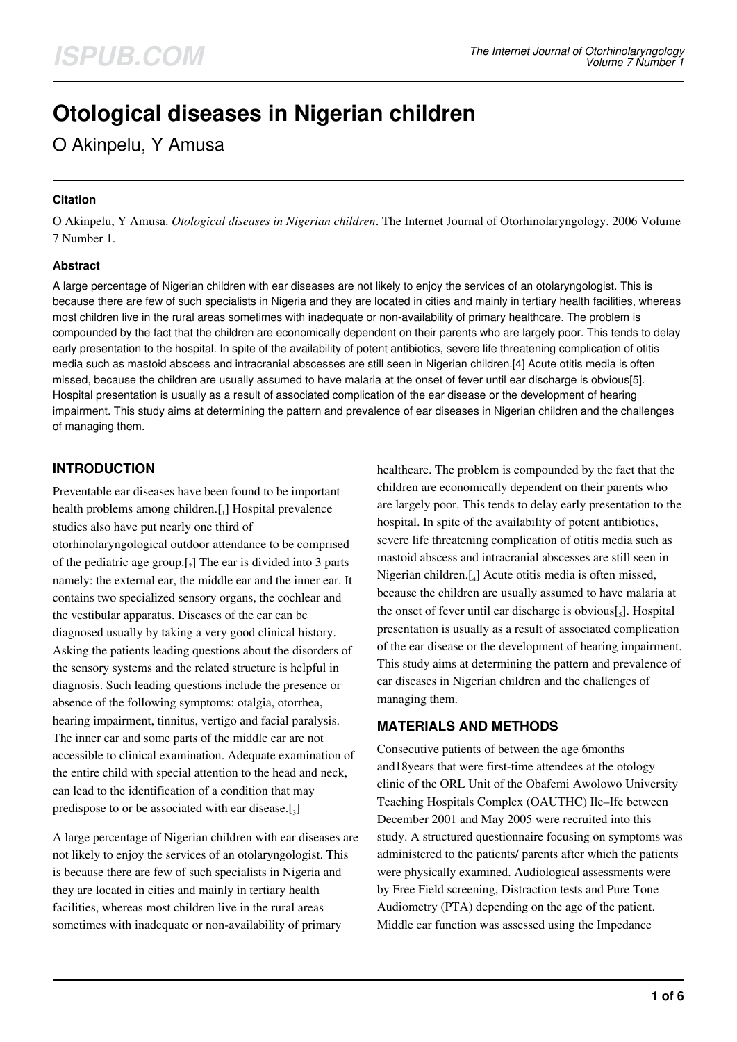# **Otological diseases in Nigerian children**

O Akinpelu, Y Amusa

### **Citation**

O Akinpelu, Y Amusa. *Otological diseases in Nigerian children*. The Internet Journal of Otorhinolaryngology. 2006 Volume 7 Number 1.

### **Abstract**

A large percentage of Nigerian children with ear diseases are not likely to enjoy the services of an otolaryngologist. This is because there are few of such specialists in Nigeria and they are located in cities and mainly in tertiary health facilities, whereas most children live in the rural areas sometimes with inadequate or non-availability of primary healthcare. The problem is compounded by the fact that the children are economically dependent on their parents who are largely poor. This tends to delay early presentation to the hospital. In spite of the availability of potent antibiotics, severe life threatening complication of otitis media such as mastoid abscess and intracranial abscesses are still seen in Nigerian children.[4] Acute otitis media is often missed, because the children are usually assumed to have malaria at the onset of fever until ear discharge is obvious[5]. Hospital presentation is usually as a result of associated complication of the ear disease or the development of hearing impairment. This study aims at determining the pattern and prevalence of ear diseases in Nigerian children and the challenges of managing them.

# **INTRODUCTION**

Preventable ear diseases have been found to be important health problems among children.[1] Hospital prevalence studies also have put nearly one third of otorhinolaryngological outdoor attendance to be comprised of the pediatric age group. $[2]$  The ear is divided into 3 parts namely: the external ear, the middle ear and the inner ear. It contains two specialized sensory organs, the cochlear and the vestibular apparatus. Diseases of the ear can be diagnosed usually by taking a very good clinical history. Asking the patients leading questions about the disorders of the sensory systems and the related structure is helpful in diagnosis. Such leading questions include the presence or absence of the following symptoms: otalgia, otorrhea, hearing impairment, tinnitus, vertigo and facial paralysis. The inner ear and some parts of the middle ear are not accessible to clinical examination. Adequate examination of the entire child with special attention to the head and neck, can lead to the identification of a condition that may predispose to or be associated with ear disease.[3]

A large percentage of Nigerian children with ear diseases are not likely to enjoy the services of an otolaryngologist. This is because there are few of such specialists in Nigeria and they are located in cities and mainly in tertiary health facilities, whereas most children live in the rural areas sometimes with inadequate or non-availability of primary

healthcare. The problem is compounded by the fact that the children are economically dependent on their parents who are largely poor. This tends to delay early presentation to the hospital. In spite of the availability of potent antibiotics, severe life threatening complication of otitis media such as mastoid abscess and intracranial abscesses are still seen in Nigerian children.[<sup>4</sup> ] Acute otitis media is often missed, because the children are usually assumed to have malaria at the onset of fever until ear discharge is obvious $\left[\right]_5$ ]. Hospital presentation is usually as a result of associated complication of the ear disease or the development of hearing impairment. This study aims at determining the pattern and prevalence of ear diseases in Nigerian children and the challenges of managing them.

## **MATERIALS AND METHODS**

Consecutive patients of between the age 6months and18years that were first-time attendees at the otology clinic of the ORL Unit of the Obafemi Awolowo University Teaching Hospitals Complex (OAUTHC) Ile–Ife between December 2001 and May 2005 were recruited into this study. A structured questionnaire focusing on symptoms was administered to the patients/ parents after which the patients were physically examined. Audiological assessments were by Free Field screening, Distraction tests and Pure Tone Audiometry (PTA) depending on the age of the patient. Middle ear function was assessed using the Impedance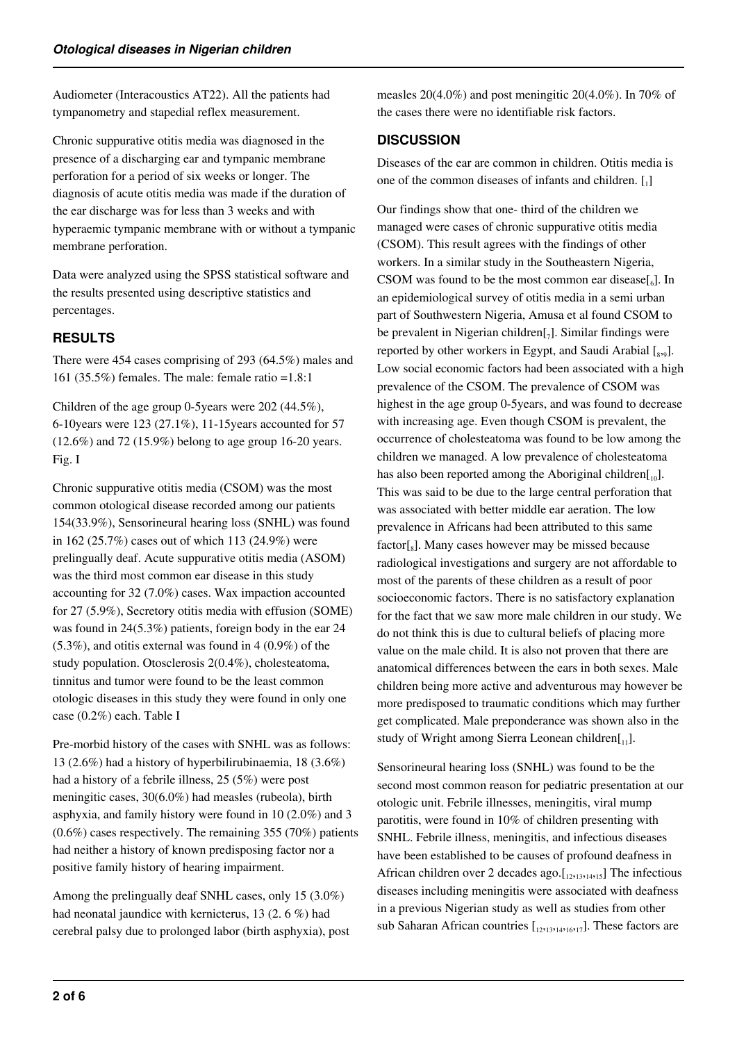Audiometer (Interacoustics AT22). All the patients had tympanometry and stapedial reflex measurement.

Chronic suppurative otitis media was diagnosed in the presence of a discharging ear and tympanic membrane perforation for a period of six weeks or longer. The diagnosis of acute otitis media was made if the duration of the ear discharge was for less than 3 weeks and with hyperaemic tympanic membrane with or without a tympanic membrane perforation.

Data were analyzed using the SPSS statistical software and the results presented using descriptive statistics and percentages.

# **RESULTS**

There were 454 cases comprising of 293 (64.5%) males and 161 (35.5%) females. The male: female ratio =1.8:1

Children of the age group 0-5years were 202 (44.5%), 6-10years were 123 (27.1%), 11-15years accounted for 57 (12.6%) and 72 (15.9%) belong to age group 16-20 years. Fig. I

Chronic suppurative otitis media (CSOM) was the most common otological disease recorded among our patients 154(33.9%), Sensorineural hearing loss (SNHL) was found in 162 (25.7%) cases out of which 113 (24.9%) were prelingually deaf. Acute suppurative otitis media (ASOM) was the third most common ear disease in this study accounting for 32 (7.0%) cases. Wax impaction accounted for 27 (5.9%), Secretory otitis media with effusion (SOME) was found in 24(5.3%) patients, foreign body in the ear 24 (5.3%), and otitis external was found in 4 (0.9%) of the study population. Otosclerosis 2(0.4%), cholesteatoma, tinnitus and tumor were found to be the least common otologic diseases in this study they were found in only one case (0.2%) each. Table I

Pre-morbid history of the cases with SNHL was as follows: 13 (2.6%) had a history of hyperbilirubinaemia, 18 (3.6%) had a history of a febrile illness, 25 (5%) were post meningitic cases, 30(6.0%) had measles (rubeola), birth asphyxia, and family history were found in 10 (2.0%) and 3 (0.6%) cases respectively. The remaining 355 (70%) patients had neither a history of known predisposing factor nor a positive family history of hearing impairment.

Among the prelingually deaf SNHL cases, only 15 (3.0%) had neonatal jaundice with kernicterus, 13 (2. 6 %) had cerebral palsy due to prolonged labor (birth asphyxia), post measles 20(4.0%) and post meningitic 20(4.0%). In 70% of the cases there were no identifiable risk factors.

## **DISCUSSION**

Diseases of the ear are common in children. Otitis media is one of the common diseases of infants and children.  $\left[ \begin{smallmatrix} . & 0 \\ 1 & 1 \end{smallmatrix} \right]$ 

Our findings show that one- third of the children we managed were cases of chronic suppurative otitis media (CSOM). This result agrees with the findings of other workers. In a similar study in the Southeastern Nigeria, CSOM was found to be the most common ear disease $\begin{bmatrix} 6 \end{bmatrix}$ . In an epidemiological survey of otitis media in a semi urban part of Southwestern Nigeria, Amusa et al found CSOM to be prevalent in Nigerian children $[\,_7]$ . Similar findings were reported by other workers in Egypt, and Saudi Arabial [8,9]. Low social economic factors had been associated with a high prevalence of the CSOM. The prevalence of CSOM was highest in the age group 0-5years, and was found to decrease with increasing age. Even though CSOM is prevalent, the occurrence of cholesteatoma was found to be low among the children we managed. A low prevalence of cholesteatoma has also been reported among the Aboriginal children $[I_{10}]$ . This was said to be due to the large central perforation that was associated with better middle ear aeration. The low prevalence in Africans had been attributed to this same factor[<sub>8</sub>]. Many cases however may be missed because radiological investigations and surgery are not affordable to most of the parents of these children as a result of poor socioeconomic factors. There is no satisfactory explanation for the fact that we saw more male children in our study. We do not think this is due to cultural beliefs of placing more value on the male child. It is also not proven that there are anatomical differences between the ears in both sexes. Male children being more active and adventurous may however be more predisposed to traumatic conditions which may further get complicated. Male preponderance was shown also in the study of Wright among Sierra Leonean children $[I_{11}]$ .

Sensorineural hearing loss (SNHL) was found to be the second most common reason for pediatric presentation at our otologic unit. Febrile illnesses, meningitis, viral mump parotitis, were found in 10% of children presenting with SNHL. Febrile illness, meningitis, and infectious diseases have been established to be causes of profound deafness in African children over 2 decades ago. $\left[\right]_{2,13,14,15}$ ] The infectious diseases including meningitis were associated with deafness in a previous Nigerian study as well as studies from other sub Saharan African countries  $\begin{bmatrix} 1_{2213214216217} \end{bmatrix}$ . These factors are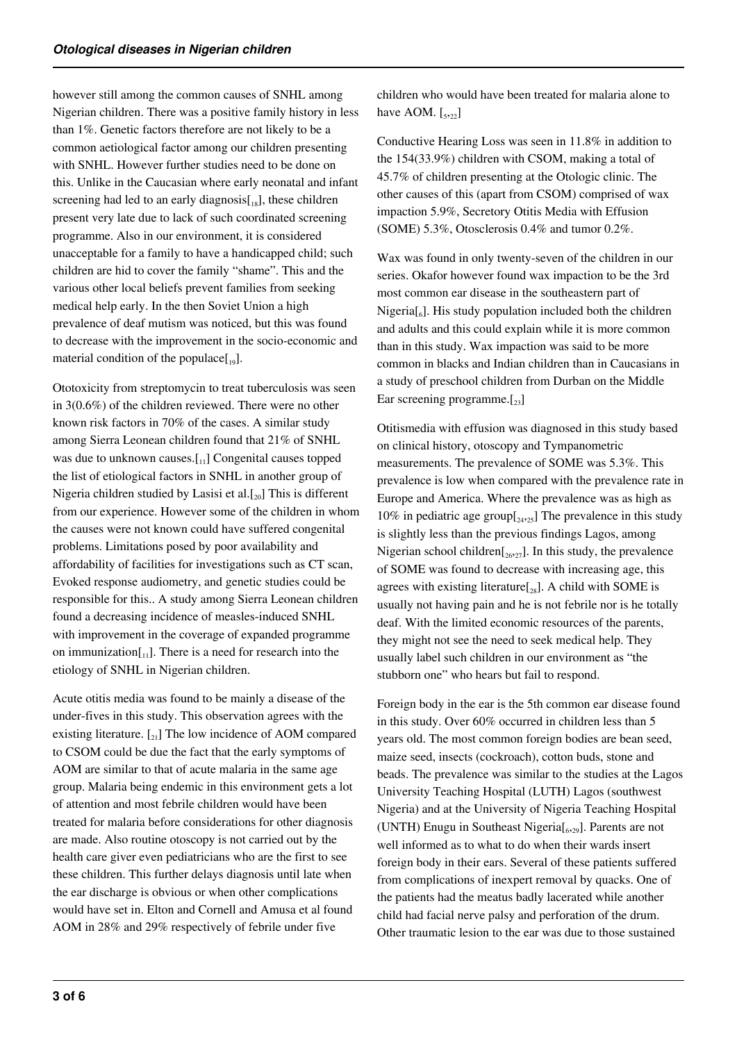however still among the common causes of SNHL among Nigerian children. There was a positive family history in less than 1%. Genetic factors therefore are not likely to be a common aetiological factor among our children presenting with SNHL. However further studies need to be done on this. Unlike in the Caucasian where early neonatal and infant screening had led to an early diagnosis $[18]$ , these children present very late due to lack of such coordinated screening programme. Also in our environment, it is considered unacceptable for a family to have a handicapped child; such children are hid to cover the family "shame". This and the various other local beliefs prevent families from seeking medical help early. In the then Soviet Union a high prevalence of deaf mutism was noticed, but this was found to decrease with the improvement in the socio-economic and material condition of the populace $[19]$ .

Ototoxicity from streptomycin to treat tuberculosis was seen in 3(0.6%) of the children reviewed. There were no other known risk factors in 70% of the cases. A similar study among Sierra Leonean children found that 21% of SNHL was due to unknown causes.<sup>[11]</sup> Congenital causes topped the list of etiological factors in SNHL in another group of Nigeria children studied by Lasisi et al. $[20]$  This is different from our experience. However some of the children in whom the causes were not known could have suffered congenital problems. Limitations posed by poor availability and affordability of facilities for investigations such as CT scan, Evoked response audiometry, and genetic studies could be responsible for this.. A study among Sierra Leonean children found a decreasing incidence of measles-induced SNHL with improvement in the coverage of expanded programme on immunization $\begin{bmatrix} 1 \\ 1 \end{bmatrix}$ . There is a need for research into the etiology of SNHL in Nigerian children.

Acute otitis media was found to be mainly a disease of the under-fives in this study. This observation agrees with the existing literature.  $\begin{bmatrix} 2 \\ 2 \end{bmatrix}$  The low incidence of AOM compared to CSOM could be due the fact that the early symptoms of AOM are similar to that of acute malaria in the same age group. Malaria being endemic in this environment gets a lot of attention and most febrile children would have been treated for malaria before considerations for other diagnosis are made. Also routine otoscopy is not carried out by the health care giver even pediatricians who are the first to see these children. This further delays diagnosis until late when the ear discharge is obvious or when other complications would have set in. Elton and Cornell and Amusa et al found AOM in 28% and 29% respectively of febrile under five

children who would have been treated for malaria alone to have AOM.  $\left[5,22\right]$ 

Conductive Hearing Loss was seen in 11.8% in addition to the 154(33.9%) children with CSOM, making a total of 45.7% of children presenting at the Otologic clinic. The other causes of this (apart from CSOM) comprised of wax impaction 5.9%, Secretory Otitis Media with Effusion (SOME) 5.3%, Otosclerosis 0.4% and tumor 0.2%.

Wax was found in only twenty-seven of the children in our series. Okafor however found wax impaction to be the 3rd most common ear disease in the southeastern part of Nigeria $\left[\begin{smallmatrix}6\end{smallmatrix}\right]$ . His study population included both the children and adults and this could explain while it is more common than in this study. Wax impaction was said to be more common in blacks and Indian children than in Caucasians in a study of preschool children from Durban on the Middle Ear screening programme. $[23]$ 

Otitismedia with effusion was diagnosed in this study based on clinical history, otoscopy and Tympanometric measurements. The prevalence of SOME was 5.3%. This prevalence is low when compared with the prevalence rate in Europe and America. Where the prevalence was as high as 10% in pediatric age group $\left[24,25\right]$  The prevalence in this study is slightly less than the previous findings Lagos, among Nigerian school children $\left[26,27\right]$ . In this study, the prevalence of SOME was found to decrease with increasing age, this agrees with existing literature $\left[\right]_{28}$ . A child with SOME is usually not having pain and he is not febrile nor is he totally deaf. With the limited economic resources of the parents, they might not see the need to seek medical help. They usually label such children in our environment as "the stubborn one" who hears but fail to respond.

Foreign body in the ear is the 5th common ear disease found in this study. Over 60% occurred in children less than 5 years old. The most common foreign bodies are bean seed, maize seed, insects (cockroach), cotton buds, stone and beads. The prevalence was similar to the studies at the Lagos University Teaching Hospital (LUTH) Lagos (southwest Nigeria) and at the University of Nigeria Teaching Hospital (UNTH) Enugu in Southeast Nigeria[<sup>6</sup> ,29]. Parents are not well informed as to what to do when their wards insert foreign body in their ears. Several of these patients suffered from complications of inexpert removal by quacks. One of the patients had the meatus badly lacerated while another child had facial nerve palsy and perforation of the drum. Other traumatic lesion to the ear was due to those sustained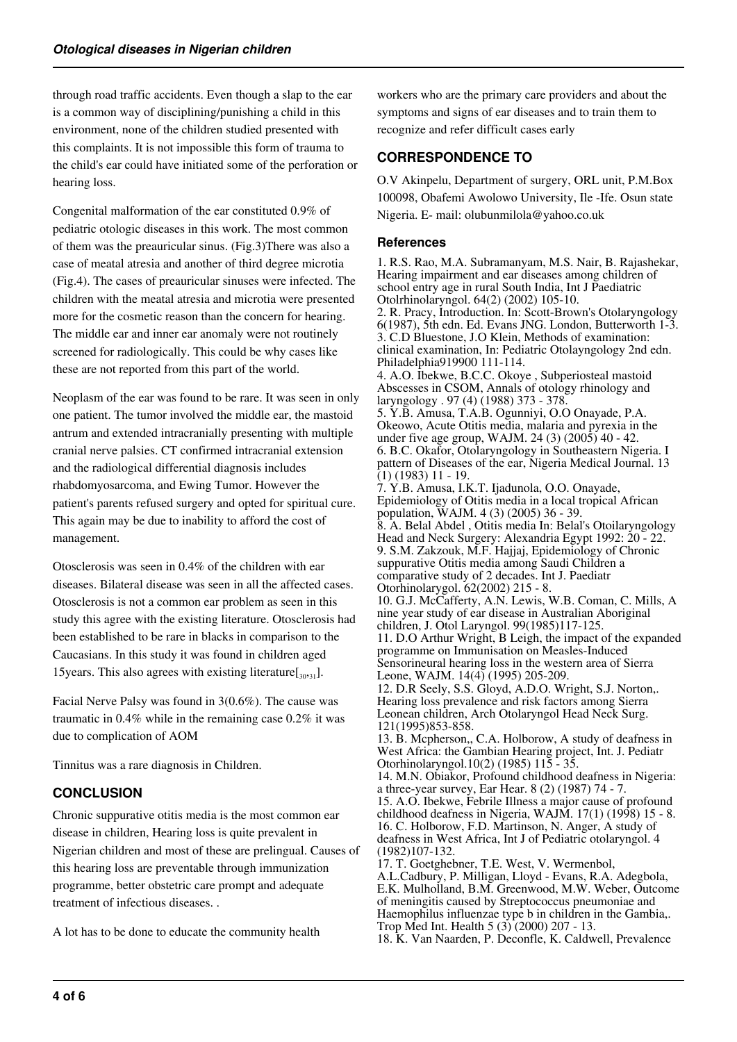through road traffic accidents. Even though a slap to the ear is a common way of disciplining/punishing a child in this environment, none of the children studied presented with this complaints. It is not impossible this form of trauma to the child's ear could have initiated some of the perforation or hearing loss.

Congenital malformation of the ear constituted 0.9% of pediatric otologic diseases in this work. The most common of them was the preauricular sinus. (Fig.3)There was also a case of meatal atresia and another of third degree microtia (Fig.4). The cases of preauricular sinuses were infected. The children with the meatal atresia and microtia were presented more for the cosmetic reason than the concern for hearing. The middle ear and inner ear anomaly were not routinely screened for radiologically. This could be why cases like these are not reported from this part of the world.

Neoplasm of the ear was found to be rare. It was seen in only one patient. The tumor involved the middle ear, the mastoid antrum and extended intracranially presenting with multiple cranial nerve palsies. CT confirmed intracranial extension and the radiological differential diagnosis includes rhabdomyosarcoma, and Ewing Tumor. However the patient's parents refused surgery and opted for spiritual cure. This again may be due to inability to afford the cost of management.

Otosclerosis was seen in 0.4% of the children with ear diseases. Bilateral disease was seen in all the affected cases. Otosclerosis is not a common ear problem as seen in this study this agree with the existing literature. Otosclerosis had been established to be rare in blacks in comparison to the Caucasians. In this study it was found in children aged 15 years. This also agrees with existing literature  $\left[\frac{30}{30}\right]$ .

Facial Nerve Palsy was found in 3(0.6%). The cause was traumatic in 0.4% while in the remaining case 0.2% it was due to complication of AOM

Tinnitus was a rare diagnosis in Children.

## **CONCLUSION**

Chronic suppurative otitis media is the most common ear disease in children, Hearing loss is quite prevalent in Nigerian children and most of these are prelingual. Causes of this hearing loss are preventable through immunization programme, better obstetric care prompt and adequate treatment of infectious diseases. .

A lot has to be done to educate the community health

workers who are the primary care providers and about the symptoms and signs of ear diseases and to train them to recognize and refer difficult cases early

## **CORRESPONDENCE TO**

O.V Akinpelu, Department of surgery, ORL unit, P.M.Box 100098, Obafemi Awolowo University, Ile -Ife. Osun state Nigeria. E- mail: olubunmilola@yahoo.co.uk

#### **References**

1. R.S. Rao, M.A. Subramanyam, M.S. Nair, B. Rajashekar, Hearing impairment and ear diseases among children of school entry age in rural South India, Int J Paediatric Otolrhinolaryngol. 64(2) (2002) 105-10. 2. R. Pracy, Introduction. In: Scott-Brown's Otolaryngology 6(1987), 5th edn. Ed. Evans JNG. London, Butterworth 1-3. 3. C.D Bluestone, J.O Klein, Methods of examination: clinical examination, In: Pediatric Otolayngology 2nd edn. Philadelphia919900 111-114. 4. A.O. Ibekwe, B.C.C. Okoye , Subperiosteal mastoid Abscesses in CSOM, Annals of otology rhinology and laryngology . 97 (4) (1988) 373 - 378. 5. Y.B. Amusa, T.A.B. Ogunniyi, O.O Onayade, P.A. Okeowo, Acute Otitis media, malaria and pyrexia in the under five age group, WAJM. 24 (3) (2005) 40 - 42. 6. B.C. Okafor, Otolaryngology in Southeastern Nigeria. I pattern of Diseases of the ear, Nigeria Medical Journal. 13 (1) (1983) 11 - 19. 7. Y.B. Amusa, I.K.T. Ijadunola, O.O. Onayade, Epidemiology of Otitis media in a local tropical African population, WAJM. 4 (3) (2005) 36 - 39. 8. A. Belal Abdel , Otitis media In: Belal's Otoilaryngology Head and Neck Surgery: Alexandria Egypt 1992: 20 - 22. 9. S.M. Zakzouk, M.F. Hajjaj, Epidemiology of Chronic suppurative Otitis media among Saudi Children a comparative study of 2 decades. Int J. Paediatr Otorhinolarygol. 62(2002) 215 - 8. 10. G.J. McCafferty, A.N. Lewis, W.B. Coman, C. Mills, A nine year study of ear disease in Australian Aboriginal children, J. Otol Laryngol. 99(1985)117-125. 11. D.O Arthur Wright, B Leigh, the impact of the expanded programme on Immunisation on Measles-Induced Sensorineural hearing loss in the western area of Sierra Leone, WAJM. 14(4) (1995) 205-209. 12. D.R Seely, S.S. Gloyd, A.D.O. Wright, S.J. Norton,. Hearing loss prevalence and risk factors among Sierra Leonean children, Arch Otolaryngol Head Neck Surg. 121(1995)853-858. 13. B. Mcpherson,, C.A. Holborow, A study of deafness in West Africa: the Gambian Hearing project, Int. J. Pediatr Otorhinolaryngol.10(2) (1985) 115 - 35. 14. M.N. Obiakor, Profound childhood deafness in Nigeria: a three-year survey, Ear Hear. 8 (2) (1987) 74 - 7. 15. A.O. Ibekwe, Febrile Illness a major cause of profound childhood deafness in Nigeria, WAJM. 17(1) (1998) 15 - 8. 16. C. Holborow, F.D. Martinson, N. Anger, A study of deafness in West Africa, Int J of Pediatric otolaryngol. 4 (1982)107-132. 17. T. Goetghebner, T.E. West, V. Wermenbol, A.L.Cadbury, P. Milligan, Lloyd - Evans, R.A. Adegbola, E.K. Mulholland, B.M. Greenwood, M.W. Weber, Outcome of meningitis caused by Streptococcus pneumoniae and

Haemophilus influenzae type b in children in the Gambia,. Trop Med Int. Health 5 (3) (2000) 207 - 13.

18. K. Van Naarden, P. Deconfle, K. Caldwell, Prevalence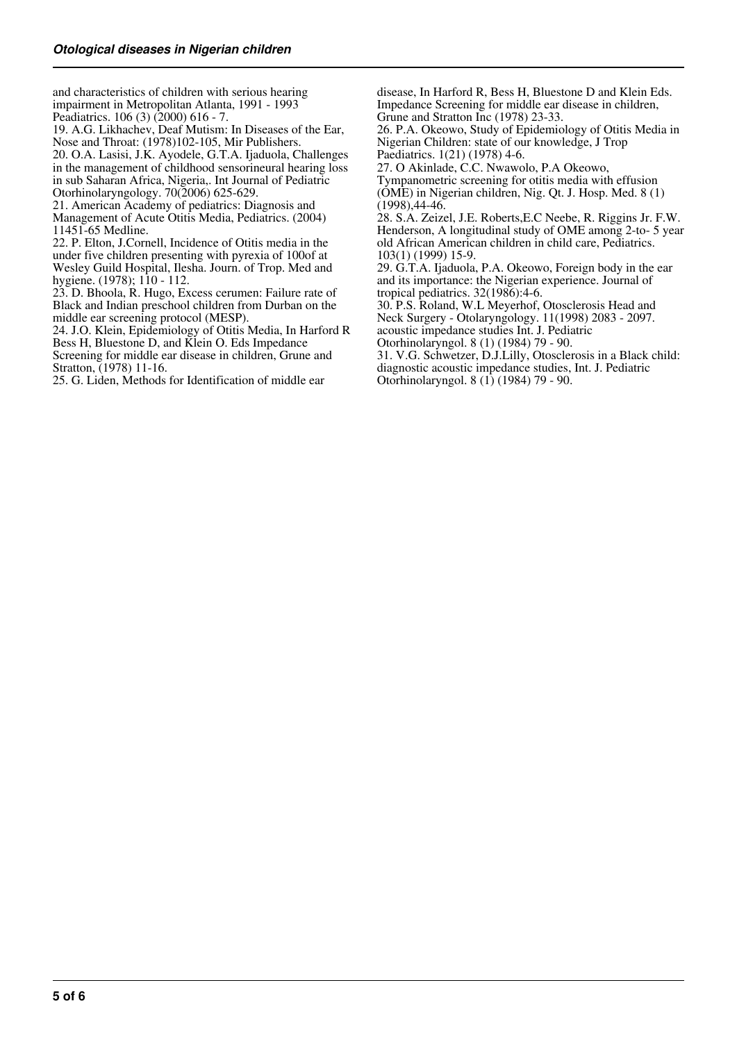and characteristics of children with serious hearing impairment in Metropolitan Atlanta, 1991 - 1993 Peadiatrics. 106 (3) (2000) 616 - 7.

19. A.G. Likhachev, Deaf Mutism: In Diseases of the Ear, Nose and Throat: (1978)102-105, Mir Publishers.

20. O.A. Lasisi, J.K. Ayodele, G.T.A. Ijaduola, Challenges in the management of childhood sensorineural hearing loss in sub Saharan Africa, Nigeria,. Int Journal of Pediatric Otorhinolaryngology. 70(2006) 625-629.

21. American Academy of pediatrics: Diagnosis and Management of Acute Otitis Media, Pediatrics. (2004) 11451-65 Medline.

22. P. Elton, J.Cornell, Incidence of Otitis media in the under five children presenting with pyrexia of 100of at Wesley Guild Hospital, Ilesha. Journ. of Trop. Med and hygiene. (1978); 110 - 112.

23. D. Bhoola, R. Hugo, Excess cerumen: Failure rate of Black and Indian preschool children from Durban on the middle ear screening protocol (MESP).

24. J.O. Klein, Epidemiology of Otitis Media, In Harford R Bess H, Bluestone D, and Klein O. Eds Impedance

Screening for middle ear disease in children, Grune and Stratton, (1978) 11-16.

25. G. Liden, Methods for Identification of middle ear

disease, In Harford R, Bess H, Bluestone D and Klein Eds. Impedance Screening for middle ear disease in children, Grune and Stratton Inc (1978) 23-33.

26. P.A. Okeowo, Study of Epidemiology of Otitis Media in Nigerian Children: state of our knowledge, J Trop Paediatrics. 1(21) (1978) 4-6.

27. O Akinlade, C.C. Nwawolo, P.A Okeowo,

Tympanometric screening for otitis media with effusion (OME) in Nigerian children, Nig. Qt. J. Hosp. Med. 8 (1) (1998),44-46.

28. S.A. Zeizel, J.E. Roberts,E.C Neebe, R. Riggins Jr. F.W. Henderson, A longitudinal study of OME among 2-to- 5 year old African American children in child care, Pediatrics. 103(1) (1999) 15-9.

29. G.T.A. Ijaduola, P.A. Okeowo, Foreign body in the ear and its importance: the Nigerian experience. Journal of tropical pediatrics. 32(1986):4-6.

30. P.S. Roland, W.L Meyerhof, Otosclerosis Head and Neck Surgery - Otolaryngology. 11(1998) 2083 - 2097. acoustic impedance studies Int. J. Pediatric

Otorhinolaryngol. 8 (1) (1984) 79 - 90.

31. V.G. Schwetzer, D.J.Lilly, Otosclerosis in a Black child: diagnostic acoustic impedance studies, Int. J. Pediatric Otorhinolaryngol. 8 (1) (1984) 79 - 90.